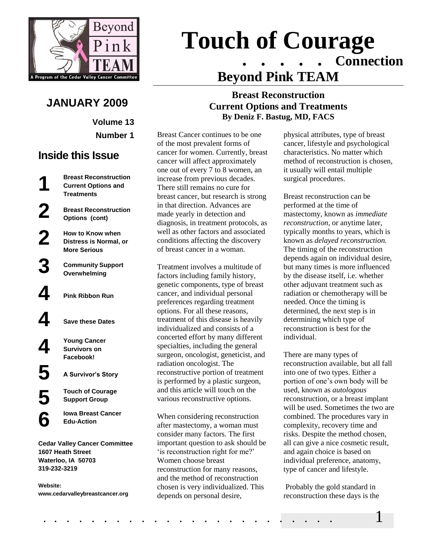

# **JANUARY 2009**

**Volume 13 Number 1**

# **Inside this Issue**

**1**

**2**

**2**

**3**

**4**

**5**

**6**

**Breast Reconstruction Current Options and Treatments**

> **Breast Reconstruction Options (cont)**

**How to Know when Distress is Normal, or More Serious**

**Community Support Overwhelming**

**4 Pink Ribbon Run**

**4 Save these Dates**

**Young Cancer Survivors on Facebook!**

**5 A Survivor's Story**

**Touch of Courage Support Group**

**Iowa Breast Cancer Edu-Action**

**Cedar Valley Cancer Committee 1607 Heath Street Waterloo, IA 50703 319-232-3219**

**Website: www.cedarvalleybreastcancer.org**

# **Touch of Courage** . . . . . **Connection Beyond Pink TEAM**

#### **Breast Reconstruction Current Options and Treatments By Deniz F. Bastug, MD, FACS**

Breast Cancer continues to be one of the most prevalent forms of cancer for women. Currently, breast cancer will affect approximately one out of every 7 to 8 women, an increase from previous decades. There still remains no cure for breast cancer, but research is strong in that direction. Advances are made yearly in detection and diagnosis, in treatment protocols, as well as other factors and associated conditions affecting the discovery of breast cancer in a woman.

Treatment involves a multitude of factors including family history, genetic components, type of breast cancer, and individual personal preferences regarding treatment options. For all these reasons, treatment of this disease is heavily individualized and consists of a concerted effort by many different specialties, including the general surgeon, oncologist, geneticist, and radiation oncologist. The reconstructive portion of treatment is performed by a plastic surgeon, and this article will touch on the various reconstructive options.

When considering reconstruction after mastectomy, a woman must consider many factors. The first important question to ask should be 'is reconstruction right for me?' Women choose breast reconstruction for many reasons, and the method of reconstruction chosen is very individualized. This depends on personal desire,

physical attributes, type of breast cancer, lifestyle and psychological characteristics. No matter which method of reconstruction is chosen, it usually will entail multiple surgical procedures.

Breast reconstruction can be performed at the time of mastectomy, known as *immediate reconstruction,* or anytime later, typically months to years, which is known as *delayed reconstruction.* The timing of the reconstruction depends again on individual desire, but many times is more influenced by the disease itself, i.e. whether other adjuvant treatment such as radiation or chemotherapy will be needed. Once the timing is determined, the next step is in determining which type of reconstruction is best for the individual.

There are many types of reconstruction available, but all fall into one of two types. Either a portion of one"s own body will be used, known as *autologous* reconstruction, or a breast implant will be used. Sometimes the two are combined. The procedures vary in complexity, recovery time and risks. Despite the method chosen, all can give a nice cosmetic result, and again choice is based on individual preference, anatomy, type of cancer and lifestyle.

Probably the gold standard in reconstruction these days is the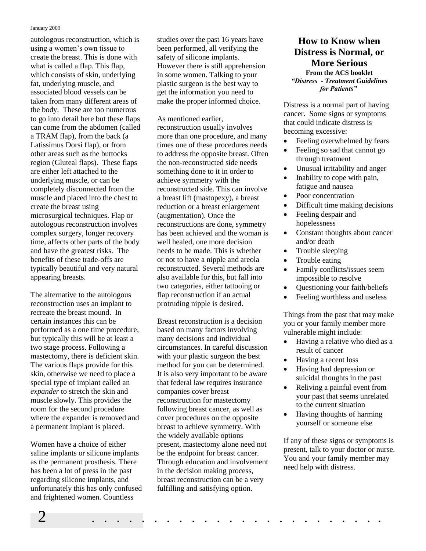#### January 2009

autologous reconstruction, which is using a women"s own tissue to create the breast. This is done with what is called a flap. This flap, which consists of skin, underlying fat, underlying muscle, and associated blood vessels can be taken from many different areas of the body. These are too numerous to go into detail here but these flaps can come from the abdomen (called a TRAM flap), from the back (a Latissimus Dorsi flap), or from other areas such as the buttocks region (Gluteal flaps). These flaps are either left attached to the underlying muscle, or can be completely disconnected from the muscle and placed into the chest to create the breast using microsurgical techniques. Flap or autologous reconstruction involves complex surgery, longer recovery time, affects other parts of the body and have the greatest risks. The benefits of these trade-offs are typically beautiful and very natural appearing breasts.

The alternative to the autologous reconstruction uses an implant to recreate the breast mound. In certain instances this can be performed as a one time procedure, but typically this will be at least a two stage process. Following a mastectomy, there is deficient skin. The various flaps provide for this skin, otherwise we need to place a special type of implant called an *expander* to stretch the skin and muscle slowly. This provides the room for the second procedure where the expander is removed and a permanent implant is placed.

Women have a choice of either saline implants or silicone implants as the permanent prosthesis. There has been a lot of press in the past regarding silicone implants, and unfortunately this has only confused and frightened women. Countless

studies over the past 16 years have been performed, all verifying the safety of silicone implants. However there is still apprehension in some women. Talking to your plastic surgeon is the best way to get the information you need to make the proper informed choice.

As mentioned earlier, reconstruction usually involves more than one procedure, and many times one of these procedures needs to address the opposite breast. Often the non-reconstructed side needs something done to it in order to achieve symmetry with the reconstructed side. This can involve a breast lift (mastopexy), a breast reduction or a breast enlargement (augmentation). Once the reconstructions are done, symmetry has been achieved and the woman is well healed, one more decision needs to be made. This is whether or not to have a nipple and areola reconstructed. Several methods are also available for this, but fall into two categories, either tattooing or flap reconstruction if an actual protruding nipple is desired.

Breast reconstruction is a decision based on many factors involving many decisions and individual circumstances. In careful discussion with your plastic surgeon the best method for you can be determined. It is also very important to be aware that federal law requires insurance companies cover breast reconstruction for mastectomy following breast cancer, as well as cover procedures on the opposite breast to achieve symmetry. With the widely available options present, mastectomy alone need not be the endpoint for breast cancer. Through education and involvement in the decision making process, breast reconstruction can be a very fulfilling and satisfying option.

### **How to Know when Distress is Normal, or More Serious From the ACS booklet**

*"Distress - Treatment Guidelines for Patients"*

Distress is a normal part of having cancer. Some signs or symptoms that could indicate distress is becoming excessive:

- Feeling overwhelmed by fears
- Feeling so sad that cannot go through treatment
- Unusual irritability and anger
- Inability to cope with pain, fatigue and nausea
- Poor concentration
- Difficult time making decisions
- Feeling despair and hopelessness
- Constant thoughts about cancer and/or death
- Trouble sleeping
- Trouble eating
- Family conflicts/issues seem impossible to resolve
- Questioning your faith/beliefs
- Feeling worthless and useless

Things from the past that may make you or your family member more vulnerable might include:

- Having a relative who died as a result of cancer
- Having a recent loss
- Having had depression or suicidal thoughts in the past
- Reliving a painful event from your past that seems unrelated to the current situation
- Having thoughts of harming yourself or someone else

If any of these signs or symptoms is present, talk to your doctor or nurse. You and your family member may need help with distress.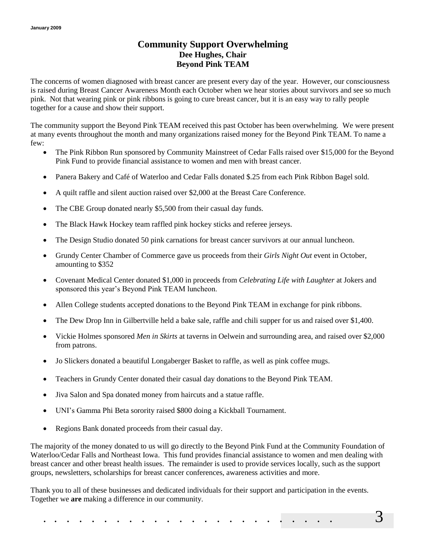#### **Community Support Overwhelming Dee Hughes, Chair Beyond Pink TEAM**

The concerns of women diagnosed with breast cancer are present every day of the year. However, our consciousness is raised during Breast Cancer Awareness Month each October when we hear stories about survivors and see so much pink. Not that wearing pink or pink ribbons is going to cure breast cancer, but it is an easy way to rally people together for a cause and show their support.

The community support the Beyond Pink TEAM received this past October has been overwhelming. We were present at many events throughout the month and many organizations raised money for the Beyond Pink TEAM. To name a few:

- The Pink Ribbon Run sponsored by Community Mainstreet of Cedar Falls raised over \$15,000 for the Beyond Pink Fund to provide financial assistance to women and men with breast cancer.
- Panera Bakery and Café of Waterloo and Cedar Falls donated \$.25 from each Pink Ribbon Bagel sold.
- A quilt raffle and silent auction raised over \$2,000 at the Breast Care Conference.
- The CBE Group donated nearly \$5,500 from their casual day funds.
- The Black Hawk Hockey team raffled pink hockey sticks and referee jerseys.
- The Design Studio donated 50 pink carnations for breast cancer survivors at our annual luncheon.
- Grundy Center Chamber of Commerce gave us proceeds from their *Girls Night Out* event in October, amounting to \$352
- Covenant Medical Center donated \$1,000 in proceeds from *Celebrating Life with Laughter* at Jokers and sponsored this year"s Beyond Pink TEAM luncheon.
- Allen College students accepted donations to the Beyond Pink TEAM in exchange for pink ribbons.
- The Dew Drop Inn in Gilbertville held a bake sale, raffle and chili supper for us and raised over \$1,400.
- Vickie Holmes sponsored *Men in Skirts* at taverns in Oelwein and surrounding area, and raised over \$2,000 from patrons.
- Jo Slickers donated a beautiful Longaberger Basket to raffle, as well as pink coffee mugs.
- Teachers in Grundy Center donated their casual day donations to the Beyond Pink TEAM.
- Jiva Salon and Spa donated money from haircuts and a statue raffle.
- UNI"s Gamma Phi Beta sorority raised \$800 doing a Kickball Tournament.
- Regions Bank donated proceeds from their casual day.

The majority of the money donated to us will go directly to the Beyond Pink Fund at the Community Foundation of Waterloo/Cedar Falls and Northeast Iowa. This fund provides financial assistance to women and men dealing with breast cancer and other breast health issues. The remainder is used to provide services locally, such as the support groups, newsletters, scholarships for breast cancer conferences, awareness activities and more.

Thank you to all of these businesses and dedicated individuals for their support and participation in the events. Together we **are** making a difference in our community.

. . . . . . . . . . . . . . . . . . . . . . . . 3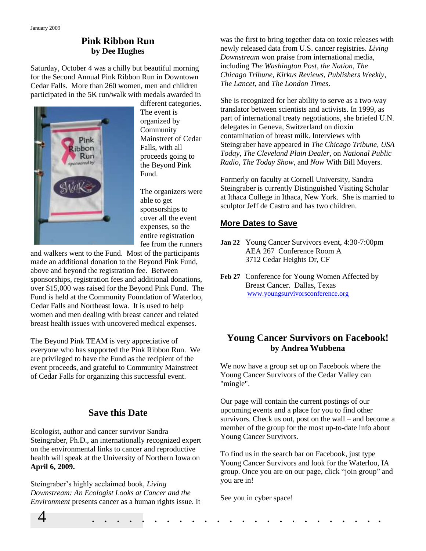#### **Pink Ribbon Run by Dee Hughes**

Saturday, October 4 was a chilly but beautiful morning for the Second Annual Pink Ribbon Run in Downtown Cedar Falls. More than 260 women, men and children participated in the 5K run/walk with medals awarded in



different categories. The event is organized by Community Mainstreet of Cedar Falls, with all proceeds going to the Beyond Pink Fund.

The organizers were able to get sponsorships to cover all the event expenses, so the entire registration fee from the runners

and walkers went to the Fund. Most of the participants made an additional donation to the Beyond Pink Fund, above and beyond the registration fee. Between sponsorships, registration fees and additional donations, over \$15,000 was raised for the Beyond Pink Fund. The Fund is held at the Community Foundation of Waterloo, Cedar Falls and Northeast Iowa. It is used to help women and men dealing with breast cancer and related breast health issues with uncovered medical expenses.

The Beyond Pink TEAM is very appreciative of everyone who has supported the Pink Ribbon Run. We are privileged to have the Fund as the recipient of the event proceeds, and grateful to Community Mainstreet of Cedar Falls for organizing this successful event.

# **Save this Date**

Ecologist, author and cancer survivor Sandra Steingraber, Ph.D., an internationally recognized expert on the environmental links to cancer and reproductive health will speak at the University of Northern Iowa on **April 6, 2009.**

Steingraber"s highly acclaimed book, *Living Downstream: An Ecologist Looks at Cancer and the Environment* presents cancer as a human rights issue. It was the first to bring together data on toxic releases with newly released data from U.S. cancer registries. *Living Downstream* won praise from international media, including *The Washington Post*, *the Nation*, *The Chicago Tribune*, *Kirkus Reviews*, *Publishers Weekly*, *The Lancet*, and *The London Times*.

She is recognized for her ability to serve as a two-way translator between scientists and activists. In 1999, as part of international treaty negotiations, she briefed U.N. delegates in Geneva, Switzerland on dioxin contamination of breast milk. Interviews with Steingraber have appeared in *The Chicago Tribune*, *USA Today*, *The Cleveland Plain Dealer*, on *National Public Radio*, *The Today Show*, and *Now* With Bill Moyers.

Formerly on faculty at Cornell University, Sandra Steingraber is currently Distinguished Visiting Scholar at Ithaca College in Ithaca, New York. She is married to sculptor Jeff de Castro and has two children.

#### **More Dates to Save**

- **Jan 22** Young Cancer Survivors event, 4:30-7:00pm AEA 267 Conference Room A 3712 Cedar Heights Dr, CF
- **Feb 27** Conference for Young Women Affected by Breast Cancer. Dallas, Texas [www.youngsurvivorsconference.org](http://www.youngsurvivorsconference.org/)

#### **Young Cancer Survivors on Facebook! by Andrea Wubbena**

We now have a group set up on Facebook where the Young Cancer Survivors of the Cedar Valley can "mingle".

Our page will contain the current postings of our upcoming events and a place for you to find other survivors. Check us out, post on the wall – and become a member of the group for the most up-to-date info about Young Cancer Survivors.

To find us in the search bar on Facebook, just type Young Cancer Survivors and look for the Waterloo, IA group. Once you are on our page, click "join group" and you are in!

See you in cyber space!

4 . . . . . . . . . . . . . . . . . . . . . . . .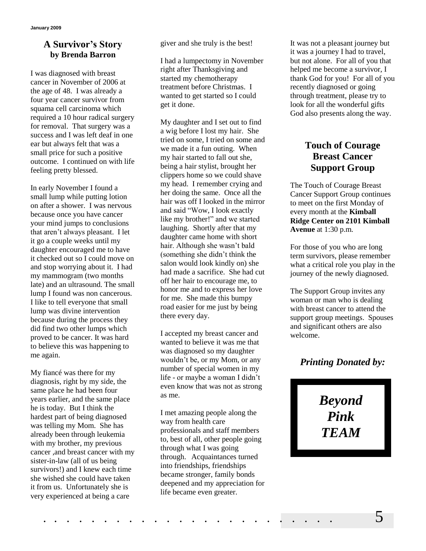#### **A Survivor's Story by Brenda Barron**

I was diagnosed with breast cancer in November of 2006 at the age of 48. I was already a four year cancer survivor from squama cell carcinoma which required a 10 hour radical surgery for removal. That surgery was a success and I was left deaf in one ear but always felt that was a small price for such a positive outcome. I continued on with life feeling pretty blessed.

In early November I found a small lump while putting lotion on after a shower. I was nervous because once you have cancer your mind jumps to conclusions that aren"t always pleasant. I let it go a couple weeks until my daughter encouraged me to have it checked out so I could move on and stop worrying about it. I had my mammogram (two months late) and an ultrasound. The small lump I found was non cancerous. I like to tell everyone that small lump was divine intervention because during the process they did find two other lumps which proved to be cancer. It was hard to believe this was happening to me again.

My fiancé was there for my diagnosis, right by my side, the same place he had been four years earlier, and the same place he is today. But I think the hardest part of being diagnosed was telling my Mom. She has already been through leukemia with my brother, my previous cancer ,and breast cancer with my sister-in-law (all of us being survivors!) and I knew each time she wished she could have taken it from us. Unfortunately she is very experienced at being a care

giver and she truly is the best!

I had a lumpectomy in November right after Thanksgiving and started my chemotherapy treatment before Christmas. I wanted to get started so I could get it done.

My daughter and I set out to find a wig before I lost my hair. She tried on some, I tried on some and we made it a fun outing. When my hair started to fall out she, being a hair stylist, brought her clippers home so we could shave my head. I remember crying and her doing the same. Once all the hair was off I looked in the mirror and said "Wow, I look exactly like my brother!" and we started laughing. Shortly after that my daughter came home with short hair. Although she wasn"t bald (something she didn"t think the salon would look kindly on) she had made a sacrifice. She had cut off her hair to encourage me, to honor me and to express her love for me. She made this bumpy road easier for me just by being there every day.

I accepted my breast cancer and wanted to believe it was me that was diagnosed so my daughter wouldn"t be, or my Mom, or any number of special women in my life - or maybe a woman I didn't even know that was not as strong as me.

I met amazing people along the way from health care professionals and staff members to, best of all, other people going through what I was going through. Acquaintances turned into friendships, friendships became stronger, family bonds deepened and my appreciation for life became even greater.

It was not a pleasant journey but it was a journey I had to travel, but not alone. For all of you that helped me become a survivor, I thank God for you! For all of you recently diagnosed or going through treatment, please try to look for all the wonderful gifts God also presents along the way.

## **Touch of Courage Breast Cancer Support Group**

The Touch of Courage Breast Cancer Support Group continues to meet on the first Monday of every month at the **Kimball Ridge Center on 2101 Kimball Avenue** at 1:30 p.m.

For those of you who are long term survivors, please remember what a critical role you play in the journey of the newly diagnosed.

The Support Group invites any woman or man who is dealing with breast cancer to attend the support group meetings. Spouses and significant others are also welcome.

# *Printing Donated by:*

*Beyond Pink TEAM*